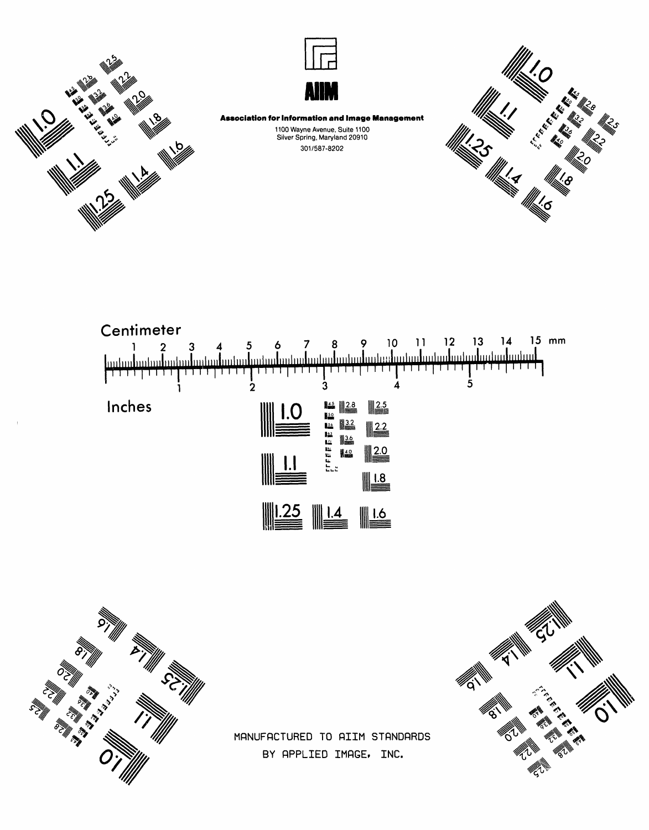





**Association for Information and Image Management** 1100 Wayne Avenue, Suite 1100<br>Silver Spring, Maryland 20910 301/587-8202







MANUFACTURED TO AIIM STANDARDS BY APPLIED IMAGE, INC.

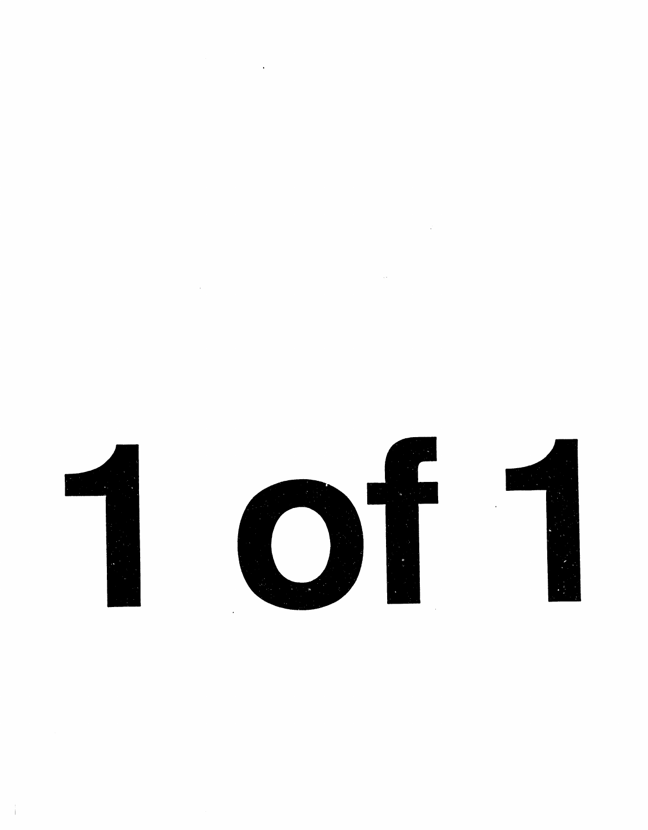$\label{eq:2.1} \frac{1}{2} \sum_{i=1}^n \frac{1}{2} \sum_{j=1}^n \frac{1}{2} \sum_{j=1}^n \frac{1}{2} \sum_{j=1}^n \frac{1}{2} \sum_{j=1}^n \frac{1}{2} \sum_{j=1}^n \frac{1}{2} \sum_{j=1}^n \frac{1}{2} \sum_{j=1}^n \frac{1}{2} \sum_{j=1}^n \frac{1}{2} \sum_{j=1}^n \frac{1}{2} \sum_{j=1}^n \frac{1}{2} \sum_{j=1}^n \frac{1}{2} \sum_{j=1}^n \frac{$ 

 $\label{eq:2.1} \frac{1}{\sqrt{2\pi}}\int_{\mathbb{R}^3}\frac{d\mu}{\sqrt{2\pi}}\left(\frac{d\mu}{\mu}\right)^2\frac{d\mu}{\mu}\left(\frac{d\mu}{\mu}\right)^2\frac{d\mu}{\mu}\left(\frac{d\mu}{\mu}\right)^2\frac{d\mu}{\mu}\left(\frac{d\mu}{\mu}\right)^2.$ 

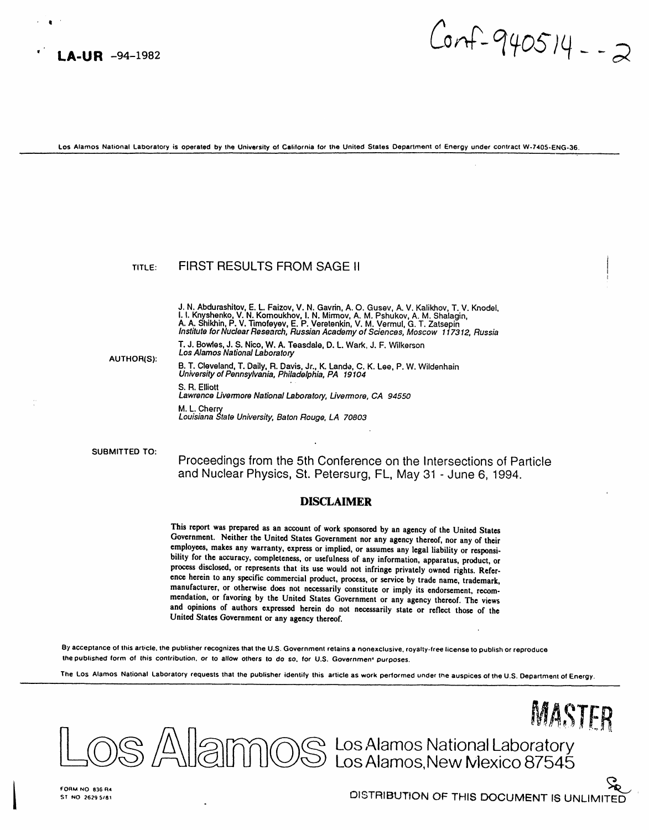

 $Corf - 940514 - 2$ 

Los Alamos National Laboratory is operated by the University of California for the United States Department of Energy under contract W-7405-ENG-36.

#### FIRST RESULTS FROM SAGE II TITI $F$ :

J. N. Abdurashitov, E. L. Faizov, V. N. Gavrin, A. O. Gusev, A. V. Kalikhov, T. V. Knodel. I. I. Knyshenko, V. N. Komoukhov, I. N. Milmov, A. M. Pshukov, A. M. Shalagin,<br>A. A. Shikhin, P. V. Timofeyev, E. P. Veretenkin, V. M. Vermul, G. T. Zatsepin Institute for Nuclear Research, Russian Academy of Sciences, Moscow 117312, Russia

T. J. Bowles, J. S. Nico, W. A. Teasdale, D. L. Wark, J. F. Wilkerson Los Alamos National Laboratory

**AUTHOR(S):** 

B. T. Cleveland, T. Daily, R. Davis, Jr., K. Lande, C. K. Lee, P. W. Wildenhain<br>University of Pennsylvania, Philadelphia, PA 19104 S. R. Elliott Lawrence Livermore National Laboratory, Livermore, CA 94550 M. L. Cherry Louisiana State University, Baton Rouge, LA 70803

SUBMITTED TO:

Proceedings from the 5th Conference on the Intersections of Particle and Nuclear Physics, St. Petersurg, FL, May 31 - June 6, 1994.

### **DISCLAIMER**

This report was prepared as an account of work sponsored by an agency of the United States Government. Neither the United States Government nor any agency thereof, nor any of their employees, makes any warranty, express or implied, or assumes any legal liability or responsibility for the accuracy, completeness, or usefulness of any information, apparatus, product, or process disclosed, or represents that its use would not infringe privately owned rights. Reference herein to any specific commercial product, process, or service by trade name, trademark, manufacturer, or otherwise does not necessarily constitute or imply its endorsement, recommendation, or favoring by the United States Government or any agency thereof. The views and opinions of authors expressed herein do not necessarily state or reflect those of the United States Government or any agency thereof.

By acceptance of this article, the publisher recognizes that the U.S. Government retains a nonexclusive, royalty-free license to publish or reproduce the published form of this contribution, or to allow others to do so, for U.S. Government purposes.

The Los Alamos National Laboratory requests that the publisher identify this article as work performed under the auspices of the U.S. Department of Energy.

MASTER S Allam OS Los Alamos National Laboratory<br>S Allam OS Los Alamos, New Mexico 87545

FORM NO 836 R4 ST NO 2629 5/81

DISTRIBUTION OF THIS DOCUMENT IS UNLIMITED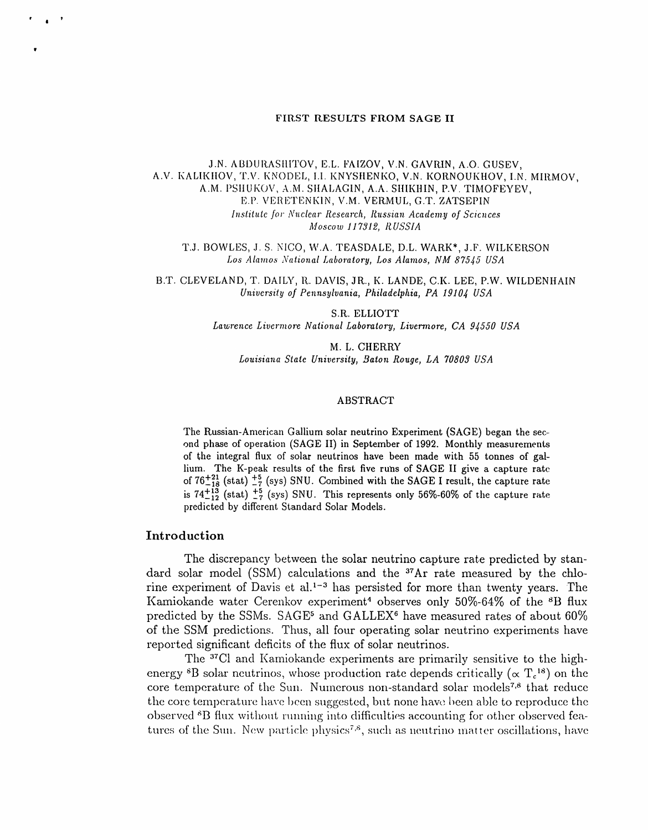#### FIRST RESULTS FROM SAGE II

J.N. ABDURASHITOV, E.L. FAIZOV, V.N. GAVRIN, A.O. GUSEV, A.V. KALIKHOV, T.V. KNODEL, I.I. KNYSHENKO, V.N. KORNOUKHOV, I.N. MIRMOV, A.M. PSHUKOV, A.M. SHALAGIN, A.A. SHIKHIN, P.V. TIMOFEYEV, E.P. VERETENKIN, V.M. VERMUL, G.T. ZATSEPIN Institute for Nuclear Research, Russian Academy of Sciences Moscow 117312, RUSSIA

T.J. BOWLES, J. S. NICO, W.A. TEASDALE, D.L. WARK\*, J.F. WILKERSON Los Alamos National Laboratory, Los Alamos, NM 87545 USA

B.T. CLEVELAND, T. DAILY, R. DAVIS, JR., K. LANDE, C.K. LEE, P.W. WILDENHAIN University of Pennsylvania, Philadelphia, PA 19104 USA

> S.R. ELLIOTT Lawrence Livermore National Laboratory, Livermore, CA 94550 USA

M. L. CHERRY Louisiana State University, Baton Rouge, LA 70803 USA

## **ABSTRACT**

The Russian-American Gallium solar neutrino Experiment (SAGE) began the second phase of operation (SAGE II) in September of 1992. Monthly measurements of the integral flux of solar neutrinos have been made with 55 tonnes of gallium. The K-peak results of the first five runs of SAGE II give a capture rate of  $76^{+21}_{-18}$  (stat)  $^{+5}_{-7}$  (sys) SNU. Combined with the SAGE I result, the capture rate<br>is  $74^{+13}_{-12}$  (stat)  $^{+5}_{-7}$  (sys) SNU. This represents only 56%-60% of the capture rate predicted by different Standard Solar Models.

# Introduction

The discrepancy between the solar neutrino capture rate predicted by standard solar model (SSM) calculations and the <sup>37</sup>Ar rate measured by the chlorine experiment of Davis et al.<sup>1-3</sup> has persisted for more than twenty years. The Kamiokande water Cerenkov experiment<sup>4</sup> observes only 50%-64% of the <sup>8</sup>B flux predicted by the SSMs. SAGE<sup>5</sup> and GALLEX<sup>6</sup> have measured rates of about 60% of the SSM predictions. Thus, all four operating solar neutrino experiments have reported significant deficits of the flux of solar neutrinos.

The <sup>37</sup>Cl and Kamiokande experiments are primarily sensitive to the highenergy <sup>8</sup>B solar neutrinos, whose production rate depends critically ( $\propto T_c^{18}$ ) on the core temperature of the Sun. Numerous non-standard solar models<sup>7,8</sup> that reduce the core temperature have been suggested, but none have been able to reproduce the observed <sup>8</sup>B flux without running into difficulties accounting for other observed features of the Sun. New particle physics<sup>7,8</sup>, such as neutrino matter oscillations, have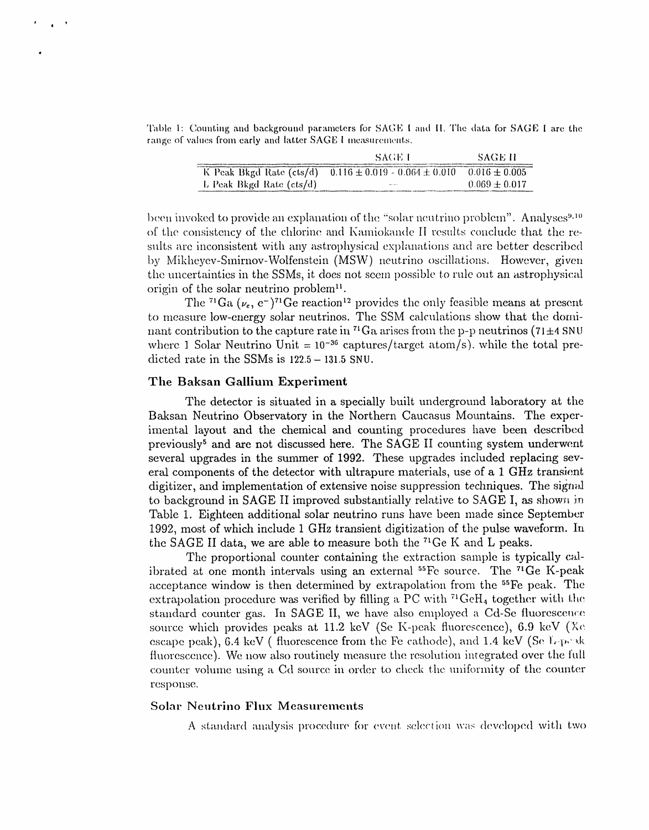Table 1: Counting and background parameters for SAGE I and II. The data for SAGE I are the range of values from early and latter SAGE I measurements.

|                          | -SAGE L                             | -SAGE H            |
|--------------------------|-------------------------------------|--------------------|
| K Peak Bkgd Rate (cts/d) | $0.116 \pm 0.019 - 0.064 \pm 0.010$ | $-0.016 \pm 0.005$ |
| L Peak Bkgd Rate (cts/d) | <b>March 1979</b>                   | $0.069 \pm 0.017$  |

been invoked to provide an explanation of the "solar neutrino problem". Analyses<sup>9,10</sup> of the consistency of the chlorine and Kamiokande II results conclude that the results are inconsistent with any astrophysical explanations and are better described by Mikheyev-Smirnov-Wolfenstein (MSW) neutrino oscillations. However, given the uncertainties in the SSMs, it does not seem possible to rule out an astrophysical origin of the solar neutrino problem<sup>11</sup>.

The <sup>71</sup>Ga ( $\nu_e$ , e<sup>-</sup>)<sup>71</sup>Ge reaction<sup>12</sup> provides the only feasible means at present to measure low-energy solar neutrinos. The SSM calculations show that the dominant contribution to the capture rate in <sup>71</sup>Ga arises from the p-p neutrinos (71 $\pm$ 4 SNU where 1 Solar Neutrino Unit =  $10^{-36}$  captures/target atom/s), while the total predicted rate in the SSMs is  $122.5 - 131.5$  SNU.

# The Baksan Gallium Experiment

The detector is situated in a specially built underground laboratory at the Baksan Neutrino Observatory in the Northern Caucasus Mountains. The experimental layout and the chemical and counting procedures have been described previously<sup>5</sup> and are not discussed here. The SAGE II counting system underwent several upgrades in the summer of 1992. These upgrades included replacing several components of the detector with ultrapure materials, use of a 1 GHz transient digitizer, and implementation of extensive noise suppression techniques. The signal to background in SAGE II improved substantially relative to SAGE I, as shown in Table 1. Eighteen additional solar neutrino runs have been made since September 1992, most of which include 1 GHz transient digitization of the pulse waveform. In the SAGE II data, we are able to measure both the <sup>71</sup>Ge K and L peaks.

The proportional counter containing the extraction sample is typically calibrated at one month intervals using an external <sup>55</sup>Fe source. The <sup>71</sup>Ge K-peak acceptance window is then determined by extrapolation from the <sup>55</sup>Fe peak. The extrapolation procedure was verified by filling a PC with  $^{71}$ GeH<sub>4</sub> together with the standard counter gas. In SAGE II, we have also employed a Cd-Se fluorescence source which provides peaks at 11.2 keV (Se K-peak fluorescence), 6.9 keV (Xe escape peak), 6.4 keV (fluorescence from the Fe cathode), and 1.4 keV (Se L-peak fluorescence). We now also routinely measure the resolution integrated over the full counter volume using a Cd source in order to check the uniformity of the counter response.

# **Solar Neutrino Flux Measurements**

A standard analysis procedure for event selection was developed with two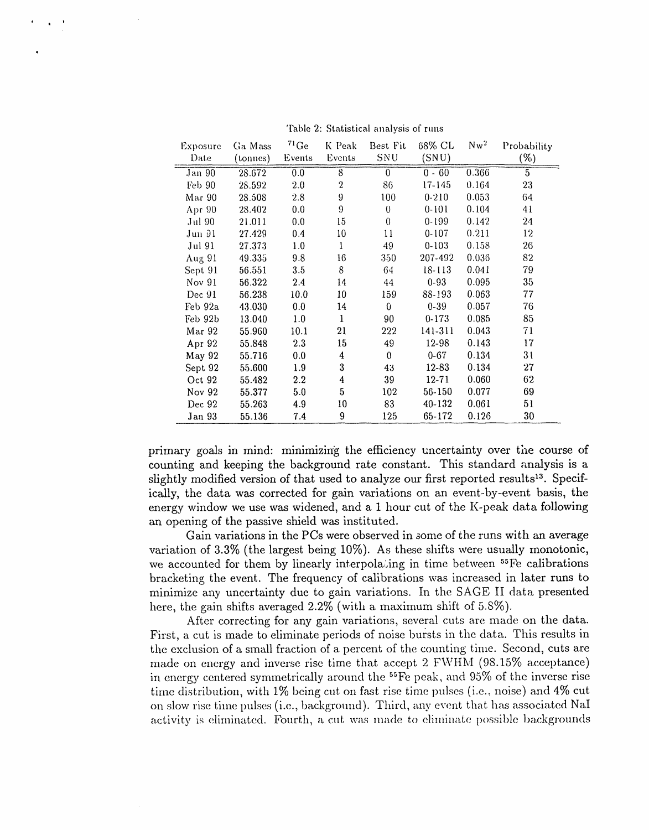| Exposure | Ga Mass  | $71\text{Ge}$ | K Peak           | Best Fit | 68% CL     | $Nw^2$ | Probability    |
|----------|----------|---------------|------------------|----------|------------|--------|----------------|
| Date     | (tonnes) | Events        | Events           | SNU      | (SNU)      |        | $(\%)$         |
| Jan 90   | 28.672   | 0.0           | $\overline{8}$   | $\theta$ | $0 - 60$   | 0.366  | $\overline{5}$ |
| Feb 90   | 28.592   | 2.0           | 2                | 86       | $17 - 145$ | 0.164  | 23             |
| Mar 90   | 28.508   | 2.8           | 9                | 100      | $0 - 210$  | 0.053  | 64             |
| Apr 90   | 28.402   | 0.0           | 9                | $\theta$ | $0 - 101$  | 0.104  | 41             |
| Jul 90   | 21.011   | 0.0           | 15               | $\theta$ | $0 - 199$  | 0.142  | 24             |
| Jun 91   | 27.429   | 0.4           | 10               | 11       | $0 - 107$  | 0.211  | 12             |
| Jul 91   | 27.373   | 1.0           | $\mathbf{1}$     | 49       | $0 - 103$  | 0.158  | 26             |
| Aug 91   | 49.335   | 9.8           | 16               | 350      | 207-492    | 0.036  | 82             |
| Sept 91  | 56.551   | 3.5           | 8                | 64       | 18-113     | 0.041  | 79             |
| Nov 91   | 56.322   | 2.4           | 14               | 44       | $0 - 93$   | 0.095  | 35             |
| Dec 91   | 56.238   | 10.0          | 10               | 159      | 88-193     | 0.063  | 77             |
| Feb 92a  | 43.030   | 0.0           | 14               | 0        | $0 - 39$   | 0.057  | 76             |
| Feb 92b  | 13.040   | 1.0           | 1                | 90       | $0 - 173$  | 0.085  | 85             |
| Mar 92   | 55.960   | 10.1          | 21               | 222      | 141-311    | 0.043  | 71             |
| Apr 92   | 55.848   | 2.3           | 15               | 49       | 12-98      | 0.143  | 17             |
| May 92   | 55.716   | 0.0           | 4                | $\theta$ | $0 - 67$   | 0.134  | 31             |
| Sept 92  | 55.600   | 1.9           | 3                | 43       | $12 - 83$  | 0.134  | 27             |
| Oct 92   | 55.482   | $2.2\,$       | $\boldsymbol{4}$ | 39       | $12 - 71$  | 0.060  | 62             |
| Nov 92   | 55.377   | 5.0           | 5                | 102      | 56-150     | 0.077  | 69             |
| Dec 92   | 55.263   | 4.9           | 10 <sup>°</sup>  | 83       | 40-132     | 0.061  | 51             |
| Jan 93   | 55.136   | 7.4           | 9                | 125      | 65-172     | 0.126  | 30             |

*'*Fable 2: Statistical analysis of runs

e | i**t**

> primary goals in mind: Ininimizin*:*g the efficiency uncertainty over the course of counting and keeping the background rate constant. This standard analysis is a slightly modified version of that used to analyze our first reported results<sup>13</sup>. Specifically, the data was corrected for gain variations on an event-by-event basis, the energy window we use was widened, and a 1 hour cut *o*f the K-peak data following an opening of the pa*s*sive shield was instituted.

> Gain variations in the PCs were observed in *s*ome of the runs with an average variation of 3.3% (the largest being 10%). As these shifts were usually monotonic, we accounted for them by linearly interpolating in time between  $55Fe$  calibrations bracketing the event. The frequency of calibration**s** was increased in later runs to minimize any uncertainty due to gain variations. In the SAGE II data presented here, the gain shifts averaged 2.2% (with a maximum shift of 5.8%).

> After correcting for any gain variations, several cuts are made on the data. First, a cut is made to eliminate periods of noise bursts in the data. This results in the exclusion of a small fraction of a percent of the counting time. Second, cuts are made on energy and inverse rise time that accept 2 FWHM (98.15% acceptance) in energy centered symmetrically around the  $55Fe$  peak, and 95% of the inverse rise time distribution, with 1% being cut on fast rise time pulses (i.e., noise) and 4% cut*,* on slow rise time pulses (i.e., background). Third, any ewmt that has associated NaI activity is eliminated. Fourth, a cut was made to eliminate possible backgrounds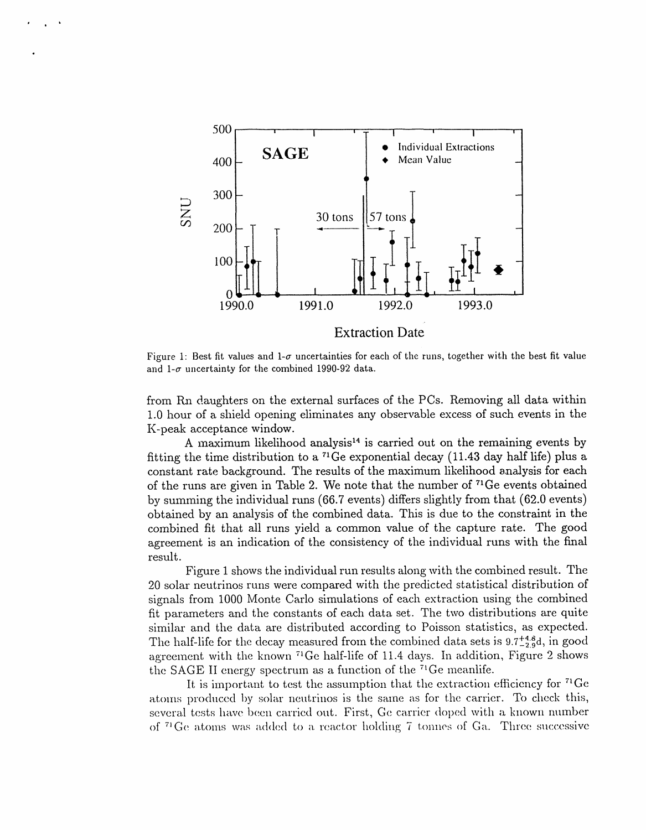

Figure 1: Best fit values and 1- $\sigma$  uncertainties for each of the runs, together with the best fit value and 1- $\sigma$  uncertainty for the combined 1990-92 data.

from Rn daughters on the external surfaces of the PCs. Removing all data within 1.0 hour of a shield opening eliminates any observable excess of such events in the K-peak acceptance window.

A maximum likelihood analysis<sup>14</sup> is carried out on the remaining events by fitting the time distribution to a <sup>71</sup>Ge exponential decay (11.43 day half life) plus a constant rate background. The results of the maximum likelihood analysis for each of the runs are given in Table 2. We note that the number of  $^{71}$ Ge events obtained by summing the individual runs (66.7 events) differs slightly from that (62.0 events) obtained by an analysis of the combined data. This is due to the constraint in the combined fit that all runs yield a common value of the capture rate. The good agreement is an indication of the consistency of the individual runs with the final result.

Figure 1 shows the individual run results along with the combined result. The 20 solar neutrinos runs were compared with the predicted statistical distribution of signals from 1000 Monte Carlo simulations of each extraction using the combined fit parameters and the constants of each data set. The two distributions are quite similar and the data are distributed according to Poisson statistics, as expected. The half-life for the decay measured from the combined data sets is  $9.7^{+4.8}_{-2.9}$ d, in good agreement with the known <sup>71</sup>Ge half-life of 11.4 days. In addition, Figure 2 shows the SAGE II energy spectrum as a function of the  $71$ Ge meanlife.

It is important to test the assumption that the extraction efficiency for  ${}^{71}Ge$ atoms produced by solar neutrinos is the same as for the carrier. To check this, several tests have been carried out. First, Ge carrier doped with a known number of <sup>71</sup> Ge atoms was added to a reactor holding 7 tonnes of Ga. Three successive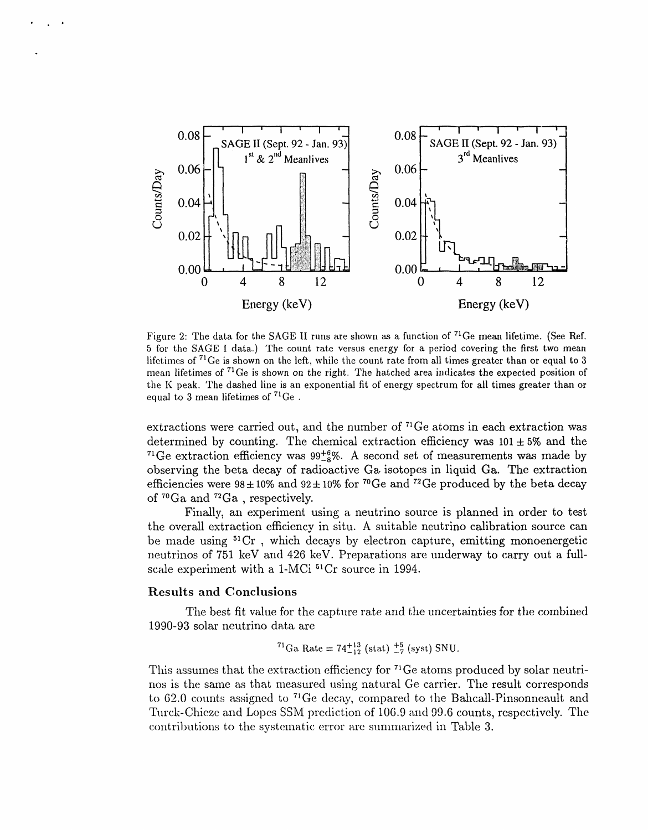

Figure 2: The data for the SAGE II runs are shown as a function of  $71$ Ge mean lifetime. (See Ref. 5 for the SAGE I data.) The count rate versus energy for a period covering the first two mean lifetimes of <sup>71</sup>Ge is shown on the left, while the count rate from all times greater than or equal to 3 mean lifetimes of  $71$ Ge is shown on the right. The hatched area indicates the expected position of the K peak. The dashed line is an exponential fit of energy spectrum for all times greater than or equal to 3 mean lifetimes of *7*1Ge .

extractions were carried out, and the number of <sup>71</sup>Ge atoms in each extraction was determined by counting. The chemical extraction efficiency was  $101 \pm 5\%$  and the <sup>71</sup>Ge extraction efficiency was  $99\frac{+6}{8}\%$ . A second set of measurements was made by observing the beta decay **o**f radioactive G\_ is**o**topes in liquid Ga. **T**he extracti**o**n efficiencies were  $98 \pm 10\%$  and  $92 \pm 10\%$  for <sup>70</sup>Ge and <sup>72</sup>Ge produced by the beta decay of  $^{70}Ga$  and  $^{72}Ga$ , respectively.

Finally, an experiment using a neutrino source is planned in order to test the overall extraction efficiency in situ. A suitable neutrino calibration source can be made using 51Cr , which decays by electron capture, emitting monoenergetic neutrinos of 751 keV and 426 keV. Preparations are underway to carry out a fullscale experiment with a 1-MCi 51Cr source in 1994.

### Results and Conclusions

**.** J,

The best fit value for the capture rate and the uncertainties for the combined 1990-93 solar neutrino data are

<sup>71</sup>Ga Rate = 
$$
74^{+13}_{-12}
$$
 (stat)  $^{+5}_{-7}$  (syst) SNU.

This assumes that the extraction efficiency for <sup>71</sup>Ge atoms produced by solar neutrinos is the same as that measured using natural Ge carrier. The result corresponds to 62.0 counts assigned to <sup>71</sup>Ge decay, compared to the Bahcall-Pinsonneault and Turck-Chieze and Lopes SSM prediction of 106.9 and 99.6 counts, respectively. The  $\alpha$  contributions to the systematic error arc summarized in Table 3.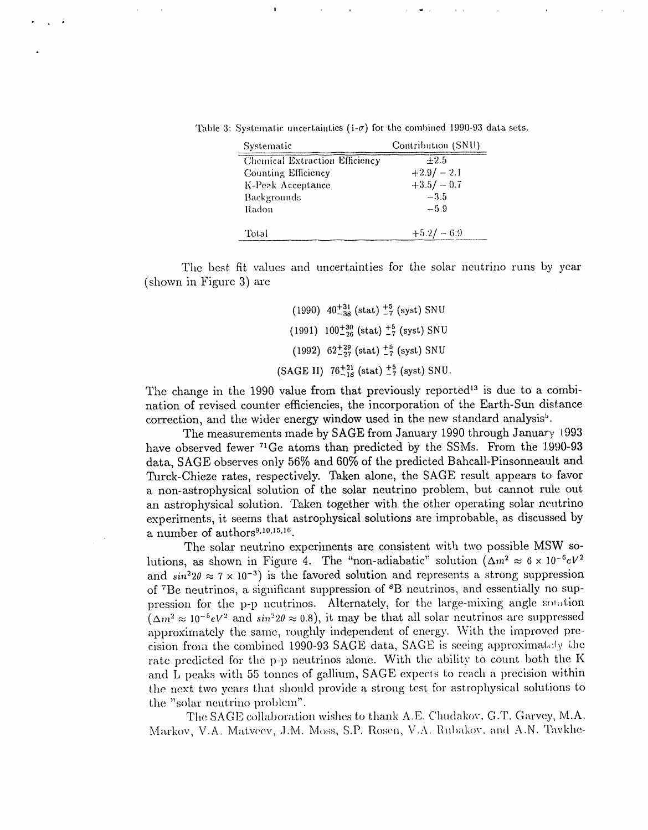Table 3: Systematic uncertainties ( $i$ - $\sigma$ ) for the combined 1990-93 data sets.

| Systematic                     | Contribution (SNU) |
|--------------------------------|--------------------|
| Chemical Extraction Efficiency | $+2.5$             |
| Counting Efficiency            | $+2.9/-2.1$        |
| K-Peak Acceptance              | $+3.5/-0.7$        |
| Backgrounds                    | $-3.5$             |
| Radon                          | $-5.9$             |
|                                |                    |
| Total                          | $+5.2/-6.9$        |

The best fit values and uncertainties for the solar neutrino runs by year (shown in Figure 3) are

> $(1990)$   $40^{+31}_{-38}$  (stat)  $^{+5}_{-7}$  (syst) SNU  $(1991)$   $100^{+30}_{-26}$  (stat)  $^{+5}_{-7}$  (syst) SNU  $(1992)$  62<sup>+29</sup>/<sub>27</sub> (stat)<sup>+5</sup>/<sub>7</sub> (syst) SNU (SAGE II)  $76^{+21}_{-18}$  (stat)  $^{+5}_{-7}$  (syst) SNU.

The change in the 1990 value from that previously reported<sup>13</sup> is due to a combination of revised counter efficiencies, the incorporation of the Earth-Sun distance correction, and the wider energy window used in the new standard analysis<sup>5</sup>.

The measurements made by SAGE from January 1990 through January 1993 have observed fewer <sup>71</sup>Ge atoms than predicted by the SSMs. From the 1990-93 data, SAGE observes only 56% and 60% of the predicted Bahcall-Pinsonneault and Turck-Chieze rates, respectively. Taken alone, the SAGE result appears to favor a non-astrophysical solution of the solar neutrino problem, but cannot rule out an astrophysical solution. Taken together with the other operating solar neutrino experiments, it seems that astrophysical solutions are improbable, as discussed by a number of authors<sup>9,10,15,16</sup>.

The solar neutrino experiments are consistent with two possible MSW solutions, as shown in Figure 4. The "non-adiabatic" solution  $(\Delta m^2 \approx 6 \times 10^{-6} eV^2)$ and  $sin^2 2\theta \approx 7 \times 10^{-3}$ ) is the favored solution and represents a strong suppression of <sup>7</sup>Be neutrinos, a significant suppression of <sup>8</sup>B neutrinos, and essentially no suppression for the p-p neutrinos. Alternately, for the large-mixing angle solution  $(\Delta m^2 \approx 10^{-5} eV^2$  and  $\sin^2 2\theta \approx 0.8$ , it may be that all solar neutrinos are suppressed approximately the same, roughly independent of energy. With the improved precision from the combined 1990-93 SAGE data, SAGE is seeing approximately the rate predicted for the p-p neutrinos alone. With the ability to count both the K and L peaks with 55 tonnes of gallium, SAGE expects to reach a precision within the next two years that should provide a strong test for astrophysical solutions to the "solar neutrino problem".

The SAGE collaboration wishes to thank A.E. Chudakov, G.T. Garvey, M.A. Markov, V.A. Matveev, J.M. Moss, S.P. Rosen, V.A. Rubakov, and A.N. Tavkhe-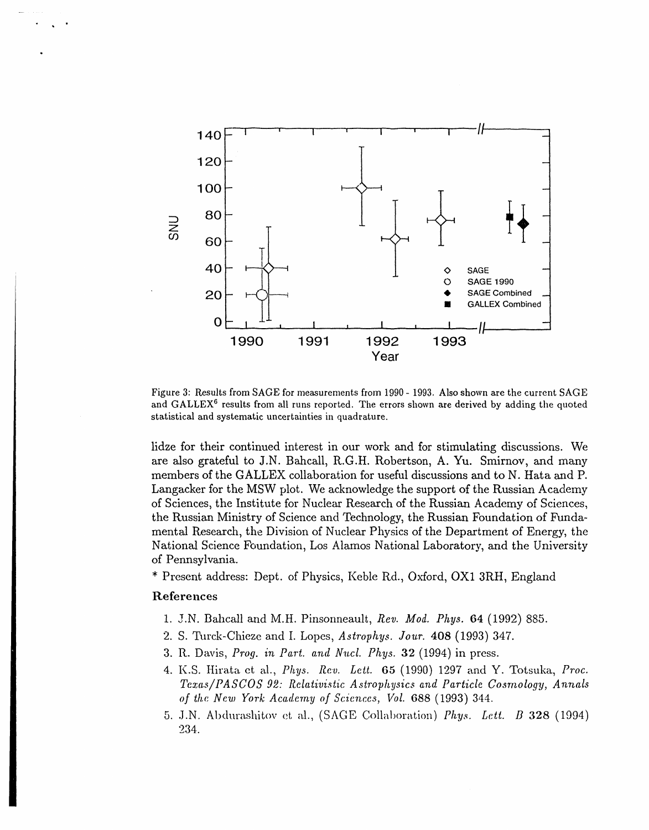

Figure 3: Results from SAGE for measurements from 1990 - 1993. Also shown are the current SAGE and GALLEX<sup>6</sup> results from all runs reported. The errors shown are derived by adding the quoted statistical and systematic uncertainties in quadrature.

lidze for their continued interest in our work and for stimulating discussions. We are also grateful to J.N. Bahcall, R.G.H. Robertson, A. Yu. Smirnov, and many members of the GALLEX collaboration for useful discussions and to N. Hata and P. Langacker for the MSW plot. We acknowledge the support of the Russian Academy of Sciences, the Institute for Nuclear Research of the Russian Academy of Sciences, the Russian Ministry of Science and Technology, the Russian Foundation of Fundamental Research, the Division of Nuclear Physics of the Department of Energy, the National Science Foundation, Los Alamos National Laboratory, and the University of Pennsylvania.

\* Present address: Dept. of Physics, Keble Rd., Oxford, OX1 3RH, England

# References

- 1. J.N. Bahcall and M.H. Pinsonneault, Rev. Mod. Phys. 64 (1992) 885.
- 2. S. Turck-Chieze and I. Lopes, Astrophys. Jour. 408 (1993) 347.
- 3. R. Davis, Prog. in Part. and Nucl. Phys. 32 (1994) in press.
- 4. K.S. Hirata et al., Phys. Rev. Lett. 65 (1990) 1297 and Y. Totsuka, Proc. Texas/PASCOS 92: Relativistic Astrophysics and Particle Cosmology, Annals of the New York Academy of Sciences, Vol. 688 (1993) 344.
- 5. J.N. Abdurashitov et al., (SAGE Collaboration) Phys. Lett. B 328 (1994) 234.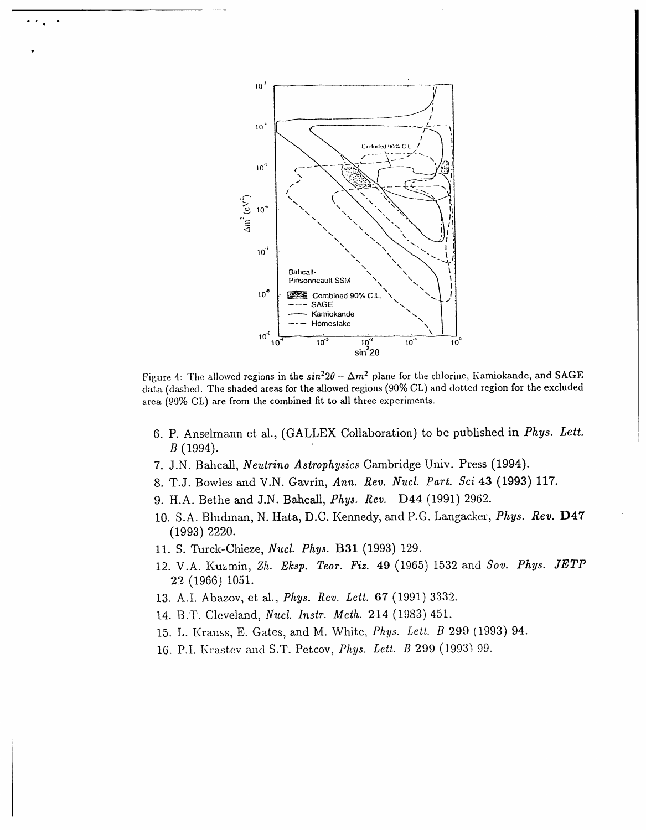

Figure 4: The allowed regions in the  $\sin^2 2\theta - \Delta m^2$  plane for the chlorine, Kamiokande, and SAGE data (dashed. The shaded areas for the allowed regions (90% CL) and dotted region for the excluded area (90% CL) are from the combined fit to all three experiments.

- 6. P. Anselmann et al., (GALLEX Collaboration) to be published in Phys. Lett.  $B(1994).$
- 7. J.N. Bahcall, Neutrino Astrophysics Cambridge Univ. Press (1994).
- 8. T.J. Bowles and V.N. Gavrin, Ann. Rev. Nucl. Part. Sci 43 (1993) 117.
- 9. H.A. Bethe and J.N. Bahcall, Phys. Rev. D44 (1991) 2962.
- 10. S.A. Bludman, N. Hata, D.C. Kennedy, and P.G. Langacker, *Phys. Rev.* D47  $(1993)$  2220.
- 11. S. Turck-Chieze, Nucl. Phys. B31 (1993) 129.
- 12. V.A. Kuzmin, Zh. Eksp. Teor. Fiz. 49 (1965) 1532 and Sov. Phys. JETP 22 (1966) 1051.
- 13. A.I. Abazov, et al., Phys. Rev. Lett. 67 (1991) 3332.
- 14. B.T. Cleveland, Nucl. Instr. Meth. 214 (1983) 451.
- 15. L. Krauss, E. Gates, and M. White, Phys. Lett. B 299 (1993) 94.
- 16. P.I. Krastev and S.T. Petcov, Phys. Lett. B 299 (1993) 99.